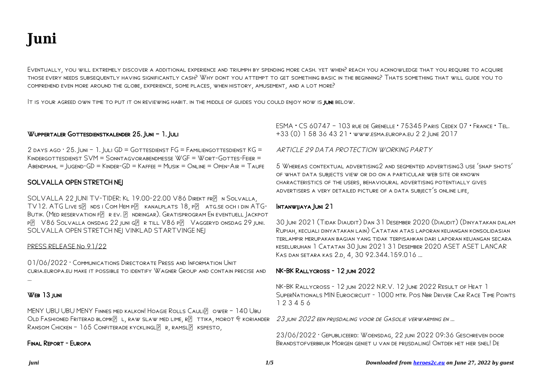# **Juni**

Eventually, you will extremely discover a additional experience and triumph by spending more cash. yet when? reach you acknowledge that you require to acquire those every needs subsequently having significantly cash? Why dont you attempt to get something basic in the beginning? Thats something that will guide you to comprehend even more around the globe, experience, some places, when history, amusement, and a lot more?

It is your agreed own time to put it on reviewing habit. in the middle of guides you could enjoy now is juni below.

## WUPPERTALER GOTTESDIENSTKALENDER 25. JUNI - 1. JULI

 $2$  days ago  $\cdot$  25. Juni – 1. Juli GD = Gottesdienst FG = Familiengottesdienst KG = Kindergottesdienst SVM = Sonntagvorabendmesse WGF = Wort-Gottes-Feier = Abendmahl = Jugend-GD = Kinder-GD = Kaffee = Musik = Online = Open-Air = Taufe

## SOLVALLA OPEN STRETCH NEJ

SOLVALLA 22 JUNI TV-TIDER: KL 19.00-22.00 V86 DIREKT FRE NSOLVALLA, TV12. ATG LIVE SP NDS I COM HEM PP KANALPLATS 18, PP ATG.SE OCH I DIN ATG-BUTIK. (MED RESERVATION FP. R EV. P. NDRINGAR). GRATISPROGRAM EN EVENTUELL LACKPOT p V86 Solvalla onsdag 22 juni gr till V86 p Vaggeryd onsdag 29 juni. SOLVALLA OPEN STRETCH NEJ VINKLAD STARTVINGE NEJ

#### PRESS RELEASE No 91/22

01/06/2022 · Communications Directorate Press and Information Unit curia.europa.eu make it possible to identify Wagner Group and contain precise and …

## WEB 13 JUNI

MENY UBU UBU MENY FINNES MED KALKON! HOAGIE ROLLS CAULIPLOWER - 140 UBU OLD FASHIONED FRITERAD BLOMKE L, RAW SLAW MED LIME, RE TTIKA, MOROT F KORIANDER  $R$ ansom Chicken – 165 Confiterade kycklingl $R$ , ramsl $R$  kspesto,

#### Final Report - Europa

ESMA • CS 60747 – 103 rue de Grenelle • 75345 Paris Cedex 07 • France • Tel. +33 (0) 1 58 36 43 21 • www.esma.europa.eu 2 2 June 2017

#### ARTICLE 29 DATA PROTECTION WORKING PARTY

5 Whereas contextual advertising2 and segmented advertising3 use 'snap shots' of what data subjects view or do on a particular web site or known characteristics of the users, behavioural advertising potentially gives advertisers a very detailed picture of a data subject's online life,

## Intanwijaya Juni 21

30 Juni 2021 (Tidak Diaudit) Dan 31 Desember 2020 (Diaudit) (Dinyatakan dalam Rupiah, kecuali dinyatakan lain) Catatan atas laporan keuangan konsolidasian terlampir merupakan bagian yang tidak terpisahkan dari laporan keuangan secara keseluruhan 1 Catatan 30 Juni 2021 31 Desember 2020 ASET ASET LANCAR KAS DAN SETARA KAS 2.D, 4, 30 92.344.159.016 ...

#### NK-BK Rallycross - 12 juni 2022

NK-BK Rallycross - 12 juni 2022 N.R.V. 12 June 2022 Result of Heat 1 SuperNationals MIN Eurocircuit - 1000 mtr. Pos Nbr Driver Car Race Time Points 1 2 3 4 5 6

23 juni 2022 een prijsdaling voor de Gasolie verwarming en …

23/06/2022 · Gepubliceerd: Woensdag, 22 juni 2022 09:36 Geschreven door Brandstofverbruik Morgen geniet u van de prijsdaling! Ontdek het hier snel! De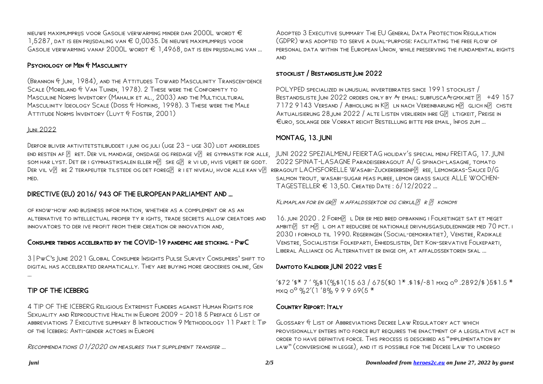nieuwe maximumprijs voor Gasolie verwarming minder dan 2000L wordt  $\in$ 1,5287, dat is een prijsdaling van € 0,0035. De nieuwe maximumprijs voor Gasolie verwarming vanaf 2000L wordt € 1,4968, dat is een prijsdaling van …

## Psychology of Men & Masculinity

(Brannon & Juni, 1984), and the Attitudes Toward Masculinity Transcen-dence SCALE (MORELAND & VAN TUINEN, 1978). 2 THESE WERE THE CONFORMITY TO Masculine Norms Inventory (Mahalik et al., 2003) and the Multicultural Masculinity Ideology Scale (Doss & Hopkins, 1998). 3 These were the Male Attitude Norms Inventory (Luyt & Foster, 2001)

#### Juni 2022

Derfor bliver aktivitetstilbuddet i juni og juli (uge 23 – uge 30) lidt anderledes end resten af [?] ret. Der vil mandage, onsdage og fredage v[?] re gymnastik for alle, "JUNI 2022 SPEZIALMENU FEIERTAG holiday's special menu FREITAG, 17. JUNI som har lyst. Det er i gymnastiksalen eller m $\overline{P}$  ske g $\overline{P}$  R vi ud, hvis veiret er godt. Der vil v $\mathbb P$  re 2 terapeuter tilstede og det foreg $\mathbb P$  r i et niveau, hvor alle kan v $\mathbb P$  reragout LACHSFORELLE Wasabi-Zuckererbsenp $\mathbb P$  ree, Lemongras-Sauce D/G med.

# DIRECTIVE (EU) 2016/ 943 OF THE EUROPEAN PARLIAMENT AND …

of know-how and business infor mation, whether as a complement or as an alternative to intellectual proper ty r ights, trade secrets allow creators and innovators to der ive profit from their creation or innovation and,

## Consumer trends accelerated by the COVID-19 pandemic are sticking. - PwC

3 | PwC's June 2021 Global Consumer Insights Pulse Survey Consumers' shift to digital has accelerated dramatically. They are buying more groceries online, Gen …

# TIP OF THE ICEBERG

4 TIP OF THE ICEBERG Religious Extremist Funders against Human Rights for Sexuality and Reproductive Health in Europe 2009 – 2018 5 Preface 6 List of abbreviations 7 Executive summary 8 Introduction 9 Methodology 11 Part I: Tip of the Iceberg: Anti-gender actors in Europe

Recommendations 01/2020 on measures that supplement transfer …

Adopted 3 Executive summary The EU General Data Protection Regulation (GDPR) was adopted to serve a dual-purpose: facilitating the free flow of personal data within the European Union, while preserving the fundamental rights and

## stocklist / Bestandsliste Juni 2022

POLYPED specialized in unusual invertebrates since 1991 stocklist / BESTANDSLISTE JUNI 2022 ORDERS ONLY BY  $A_T$  EMAIL: SUBFUSCA $A_T$ GMX.NET  $\begin{bmatrix} 2 \\ 1 \end{bmatrix}$  +49 157 7172 9143 VERSAND / ABHOLUNG IN KP LN NACH VEREINBARUNG MP GLICH NP CHSTE AKTUALISIERUNG 28.JUNI 2022 / ALTE LISTEN VERLIEREN IHRE GP LTIGKEIT, PREISE IN €uro, solange der Vorrat reicht Bestellung bitte per email, Infos zum …

## MONTAG, 13. JUNI

2022 SPINAT-LASAGNE Paradeiserragout A/ G spinach-lasagne, tomato salmon trout, wasabi-sugar peas puree, lemon grass sauce ALLE WOCHEN-TAGESTELLER € 13,50. Created Date : 6/12/2022 …

KLIMAPLAN FOR EN GR $\boxed{P}$  N AFFALDSSEKTOR OG CIRKUL $\boxed{P}$  R $\boxed{P}$  KONOMI

16. JUNI 2020. 2 FORMP L DER ER MED BRED OPBAKNING I FOLKETINGET SAT ET MEGET AMBITI $\overline{R}$  st m $\overline{R}$  L om at reducere de nationale drivhusgasudledninger med 70 pct. i 2030 i forhold til 1990. Regeringen (Social-demokratiet), Venstre, Radikale Venstre, Socialistisk Folkeparti, Enhedslisten, Det Kon-servative Folkeparti, Liberal Alliance og Alternativet er enige om, at affaldssektoren skal …

## Dantoto Kalender JUNI 2022 vers E

 $'$ \$72'\$\* 7' %\$1(%\$1(1563/675(\$0 1\*.\$1\$/-81 mxq 0°.2892/\$)5\$1.5 \* mxq oº %2'(1 '8% 9 9 9 69(5 \*

## Country Report: Italy

Glossary & List of Abbreviations Decree Law Regulatory act which provisionally enters into force but requires the enactment of a legislative act in order to have definitive force. This process is described as "implementation by law" (conversione in legge), and it is possible for the Decree Law to undergo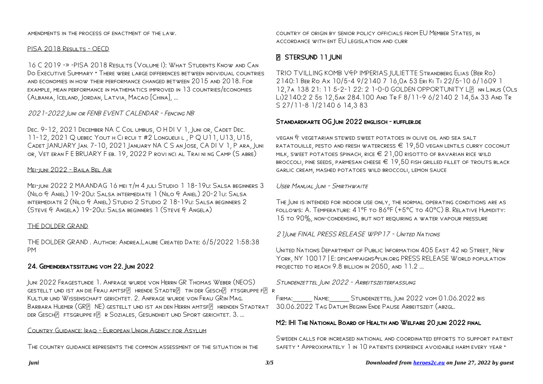amendments in the process of enactment of the law.

#### PISA 2018 RESULTS - OECD

16 C 2019 -» -PISA 2018 Results (Volume I): What Students Know and Can Do Executive Summary • There were large differences between individual countries and economies in how their performance changed between 2015 and 2018. For example, mean performance in mathematics improved in 13 countries/economies (Albania, Iceland, Jordan, Latvia, Macao [China], …

2021-2022 Juni or FENB EVENT CALENDAR - Fencing NB

Dec. 9-12, 2021 December NA C Col umbus, O H DI V 1, Juni or, Cadet Dec. 11-12, 2021 Q uebec Yout h Ci rcui t #2 Longueui l , P Q U11, U13, U15, Cadet JANUARY Jan. 7-10, 2021 January NA C S an Jose, CA DI V 1, P ara, Juni or, Vet eran F E BRUARY F eb. 19, 2022 P rovi nci al Trai ni ng Camp (S abre)

#### Mei-juni 2022 - Baila Bel Air

Mei-juni 2022 2 MAANDAG 16 mei t/m 4 juli Studio 1 18-19u: Salsa beginners 3 (Nilo & Aniel) 19-20u: Salsa intermediate 1 (Nilo & Aniel) 20-21u: Salsa intermediate 2 (Nilo & Aniel) Studio 2 Studio 2 18-19u: Salsa beginners 2 (Steve & Angela) 19-20u: Salsa beginners 1 (Steve & Angela)

#### THE DOLDER GRAND

THE DOLDER GRAND . Author: Andrea.Laube Created Date: 6/5/2022 1:58:38 PM

## 24. Gemeinderatssitzung vom 22. Juni 2022

Juni 2022 Fragestunde 1. Anfrage wurde von Herrn GR Thomas Weber (NEOS) GESTELLT UND IST AN DIE FRAU AMTSFIP HRENDE STADTRIP TIN DER GESCHIP FTSGRUPPE FR R Kultur und Wissenschaft gerichtet. 2. Anfrage wurde von Frau GRin Mag. BARBARA HUEMER (GREINE) GESTELLT UND IST AN DEN HERRN AMTSFEL HRENDEN STADTRAT DER GESCHP FTSGRUPPE FP R SOZIALES, GESUNDHEIT UND SPORT GERICHTET. 3. …

#### Country Guidance: Iraq - European Union Agency for Asylum

The country guidance represents the common assessment of the situation in the

country of origin by senior policy officials from EU Member States, in accordance with ent EU legislation and curr

# **P STERSUND 11 JUNI**

TRIO TVILLING KOMB V&P IMPERIAS JULIETTE Strandberg Elias (Ber Ro) 2140:1 Ber Ro Ax 10/5-4 9/2140 7 16,0a 53 Eri Ki Ti 22/5-10 6/1609 1 12,7A 138 21: 11 5-2-1 22: 2 1-0-0 GOLDEN OPPORTUNITY LP NN LINUS (OLS Li)2140:2 2 5s 12,5ak 284.100 And Tr F 8/11-9 6/2140 2 14,5a 33 And Tr S 27/11-8 1/2140 6 14,3 83

## Standardkarte OG Juni 2022 englisch - kuffler.de

vegan & vegetarian stewed sweet potatoes in olive oil and sea salt RATATOUILLE, PESTO AND FRESH WATERCRESS  $\in$  19,50 vegan lentils curry coconut MILK, SWEET POTATOES SPINACH, RICE  $\in 21,00$  risotto of BAVARIAN RICE WILD broccoli, pine seeds, parmesan cheese € 19,50 fish grilled fillet of trouts black garlic cream, mashed potatoes wild broccoli, lemon sauce

USER MANUAL IUNI - SMIRTHWAITE

The Juni is intended for indoor use only, the normal operating conditions are as FOLLOWS: A. TEMPERATURE: 41°F TO 86°F (+5°C TO 40°C) B. RELATIVE HUMIDITY: 15 to 90%, non-condensing, but not requiring a water vapour pressure

21June FINAL PRESS RELEASE WPP17 - United Nations

United Nations Department of Public Information 405 East 42 nd Street, New YORK, NY 10017 E: DPICAMPAIGNS ATUN.ORG PRESS RELEASE WORLD POPULATION projected to reach 9.8 billion in 2050, and 11.2 ...

STUNDENZETTEL JUNI 2022 - ARBEITSZEITERFASSUNG

FIRMA: NAME: STUNDENZETTEL JUNI 2022 VOM 01.06.2022 BIS 30.06.2022 Tag Datum Beginn Ende Pause Arbeitszeit (abzgl.

#### M2: IHI The National Board of Health and Welfare 20 juni 2022 final

Sweden calls for increased national and coordinated efforts to support patient safety • Approximately 1 in 10 patients experience avoidable harm every year •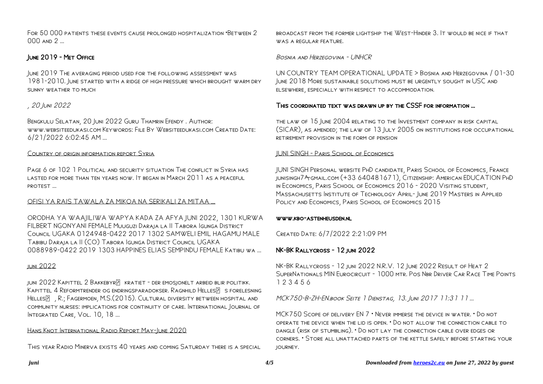For 50 000 patients these events cause prolonged hospitalization •Between 2 000 and 2 …

## June 2019 - Met Office

June 2019 The averaging period used for the following assessment was 1981-2010. June started with a ridge of high pressure which brought warm dry sunny weather to much

# , 20 Juni 2022

Bengkulu Selatan, 20 Juni 2022 Guru Thamrin Efendy . Author: www.websiteedukasi.com Keywords: File By Websiteedukasi.com Created Date: 6/21/2022 6:02:45 AM ...

#### Country of origin information report Syria

Page 6 of 102 1 Political and security situation The conflict in Syria has lasted for more than ten years now. It began in March 2011 as a peaceful protest …

#### OFISI YA RAIS TAWALA ZA MIKOA NA SERIKALI ZA MITAA …

ORODHA YA WAAJILIWA WAPYA KADA ZA AFYA JUNI 2022, 1301 KURWA FILBERT NGONYANI FEMALE Muuguzi Daraja la II Tabora Igunga District Council UGAKA 0124948-0422 2017 1302 SAMWELI EMIL HAGAMU MALE Tabibu Daraja la II (CO) Tabora Igunga District Council UGAKA 0088989-0422 2019 1303 HAPPINES ELIAS SEMPINDU FEMALE Katibu wa …

#### juni 2022

JUNI 2022 KAPITTEL 2 BAKKEBYR**R** KRATIET - DER EMOSJONELT ARBEID BLIR POLITIKK. KAPITTEL 4 REFORMTRENDER OG ENDRINGSPARADOKSER. RAGNHILD HELLES FORELESNING HELLES**PULES, R.; FAGERMOEN, M.S.** (2015). CULTURAL DIVERSITY BETWEEN HOSPITAL AND community nurses: implications for continuity of care. International Journal of INTEGRATED CARE, VOL. 10, 18 ...

#### Hans Knot International Radio Report May-June 2020

This year Radio Minerva exists 40 years and coming Saturday there is a special

broadcast from the former lightship the West-Hinder 3. It would be nice if that WAS A REGULAR FEATURE.

Bosnia and Herzegovina - UNHCR

UN COUNTRY TEAM OPERATIONAL UPDATE > Bosnia and Herzegovina / 01-30 June 2018 More sustainable solutions must be urgently sought in USC and elsewhere, especially with respect to accommodation.

## This coordinated text was drawn up by the CSSF for information …

the law of 15 June 2004 relating to the Investment company in risk capital (SICAR), as amended; the law of 13 July 2005 on institutions for occupational retirement provision in the form of pension

#### JUNI SINGH - Paris School of Economics

JUNI SINGH Personal website PhD candidate, Paris School of Economics, France junisingh7@gmail.com (+33 640481671), Citizenship: American EDUCATION PhD in Economics, Paris School of Economics 2016 - 2020 Visiting student, Massachusetts Institute of Technology April- June 2019 Masters in Applied Policy and Economics, Paris School of Economics 2015

#### www.kbo-astenheusden.nl

Created Date: 6/7/2022 2:21:09 PM

## NK-BK Rallycross - 12 juni 2022

NK-BK Rallycross - 12 juni 2022 N.R.V. 12 June 2022 Result of Heat 2 SuperNationals MIN Eurocircuit - 1000 mtr. Pos Nbr Driver Car Race Time Points 1 2 3 4 5 6

MCK750-B-ZH-EN.book Seite 1 Dienstag, 13. Juni 2017 11:31 11 …

MCK750 Scope of delivery EN 7 • Never immerse the device in water. • Do not operate the device when the lid is open. • Do not allow the connection cable to dangle (risk of stumbling). • Do not lay the connection cable over edges or corners. • Store all unattached parts of the kettle safely before starting your journey.